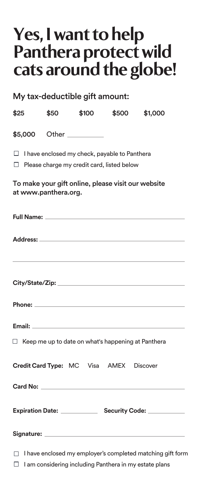# **Yes, I want to help Panthera protect wild cats around the globe!**

My tax-deductible gift amount:

| \$25                 | \$50 | \$100                                                                                       | \$500 | \$1,000                                                           |
|----------------------|------|---------------------------------------------------------------------------------------------|-------|-------------------------------------------------------------------|
|                      |      |                                                                                             |       |                                                                   |
| □<br>□               |      | I have enclosed my check, payable to Panthera<br>Please charge my credit card, listed below |       |                                                                   |
| at www.panthera.org. |      | To make your gift online, please visit our website                                          |       |                                                                   |
|                      |      |                                                                                             |       |                                                                   |
|                      |      |                                                                                             |       |                                                                   |
|                      |      |                                                                                             |       |                                                                   |
|                      |      |                                                                                             |       |                                                                   |
|                      |      | $\Box$ Keep me up to date on what's happening at Panthera                                   |       |                                                                   |
|                      |      | Credit Card Type: MC Visa AMEX Discover                                                     |       |                                                                   |
|                      |      |                                                                                             |       |                                                                   |
|                      |      |                                                                                             |       |                                                                   |
|                      |      |                                                                                             |       |                                                                   |
|                      |      |                                                                                             |       | $\Box$ I have enclosed my employer's completed matching gift form |

 $\Box$ I am considering including Panthera in my estate plans